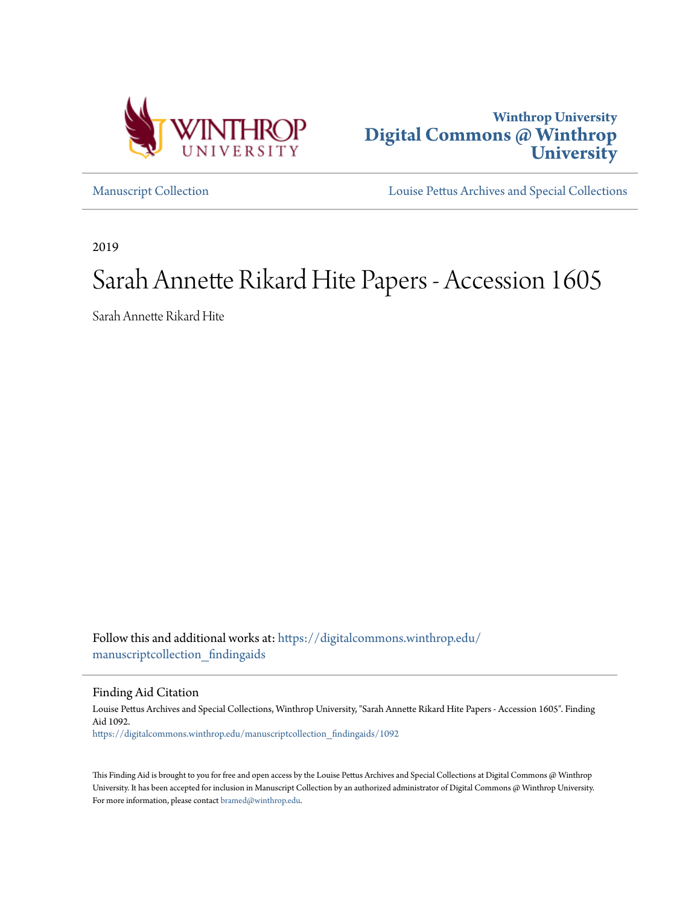



[Manuscript Collection](https://digitalcommons.winthrop.edu/manuscriptcollection_findingaids?utm_source=digitalcommons.winthrop.edu%2Fmanuscriptcollection_findingaids%2F1092&utm_medium=PDF&utm_campaign=PDFCoverPages) [Louise Pettus Archives and Special Collections](https://digitalcommons.winthrop.edu/pettus_archives?utm_source=digitalcommons.winthrop.edu%2Fmanuscriptcollection_findingaids%2F1092&utm_medium=PDF&utm_campaign=PDFCoverPages)

2019

# Sarah Annette Rikard Hite Papers - Accession 1605

Sarah Annette Rikard Hite

Follow this and additional works at: [https://digitalcommons.winthrop.edu/](https://digitalcommons.winthrop.edu/manuscriptcollection_findingaids?utm_source=digitalcommons.winthrop.edu%2Fmanuscriptcollection_findingaids%2F1092&utm_medium=PDF&utm_campaign=PDFCoverPages) [manuscriptcollection\\_findingaids](https://digitalcommons.winthrop.edu/manuscriptcollection_findingaids?utm_source=digitalcommons.winthrop.edu%2Fmanuscriptcollection_findingaids%2F1092&utm_medium=PDF&utm_campaign=PDFCoverPages)

Finding Aid Citation

Louise Pettus Archives and Special Collections, Winthrop University, "Sarah Annette Rikard Hite Papers - Accession 1605". Finding Aid 1092. [https://digitalcommons.winthrop.edu/manuscriptcollection\\_findingaids/1092](https://digitalcommons.winthrop.edu/manuscriptcollection_findingaids/1092?utm_source=digitalcommons.winthrop.edu%2Fmanuscriptcollection_findingaids%2F1092&utm_medium=PDF&utm_campaign=PDFCoverPages)

This Finding Aid is brought to you for free and open access by the Louise Pettus Archives and Special Collections at Digital Commons @ Winthrop University. It has been accepted for inclusion in Manuscript Collection by an authorized administrator of Digital Commons @ Winthrop University. For more information, please contact [bramed@winthrop.edu.](mailto:bramed@winthrop.edu)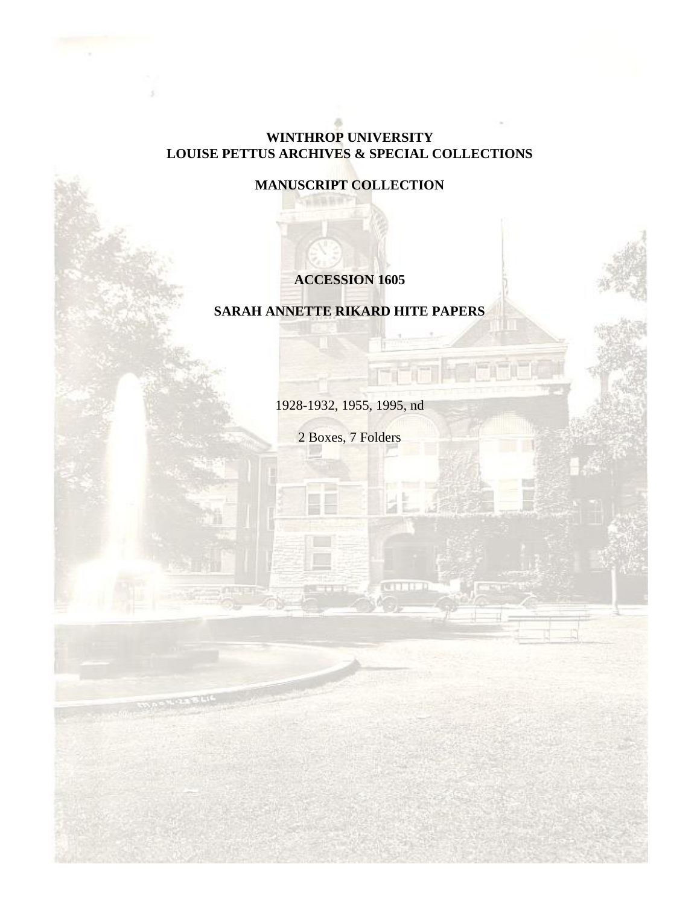### **WINTHROP UNIVERSITY LOUISE PETTUS ARCHIVES & SPECIAL COLLECTIONS**

## **MANUSCRIPT COLLECTION**

## **ACCESSION 1605**

## **SARAH ANNETTE RIKARD HITE PAPERS**

1928-1932, 1955, 1995, nd

2 Boxes, 7 Folders

**CATHER**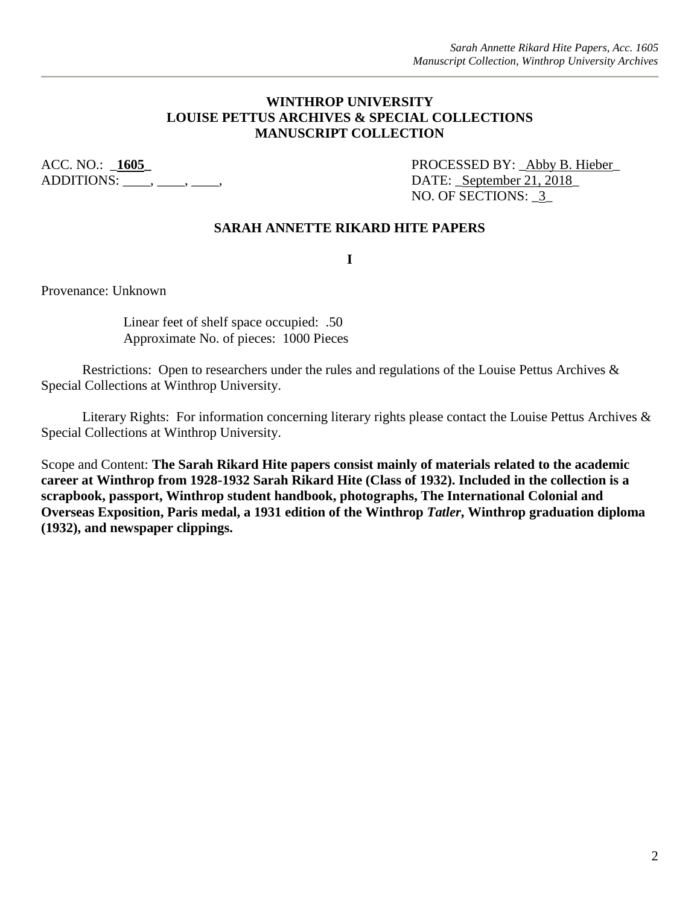#### **WINTHROP UNIVERSITY LOUISE PETTUS ARCHIVES & SPECIAL COLLECTIONS MANUSCRIPT COLLECTION**

 $ADDITIONS:$   $\overline{\phantom{a}}$ ,  $\overline{\phantom{a}}$ ,  $\overline{\phantom{a}}$ ,  $\overline{\phantom{a}}$ ,  $\overline{\phantom{a}}$ ,  $\overline{\phantom{a}}$  DATE:  $September 21, 2018$ </u>

ACC. NO.:  $1605$  PROCESSED BY: \_Abby B. Hieber\_ NO. OF SECTIONS:  $3$ 

#### **SARAH ANNETTE RIKARD HITE PAPERS**

**I**

Provenance: Unknown

Linear feet of shelf space occupied: .50 Approximate No. of pieces: 1000 Pieces

Restrictions: Open to researchers under the rules and regulations of the Louise Pettus Archives & Special Collections at Winthrop University.

Literary Rights: For information concerning literary rights please contact the Louise Pettus Archives & Special Collections at Winthrop University.

Scope and Content: **The Sarah Rikard Hite papers consist mainly of materials related to the academic career at Winthrop from 1928-1932 Sarah Rikard Hite (Class of 1932). Included in the collection is a scrapbook, passport, Winthrop student handbook, photographs, The International Colonial and Overseas Exposition, Paris medal, a 1931 edition of the Winthrop** *Tatler***, Winthrop graduation diploma (1932), and newspaper clippings.**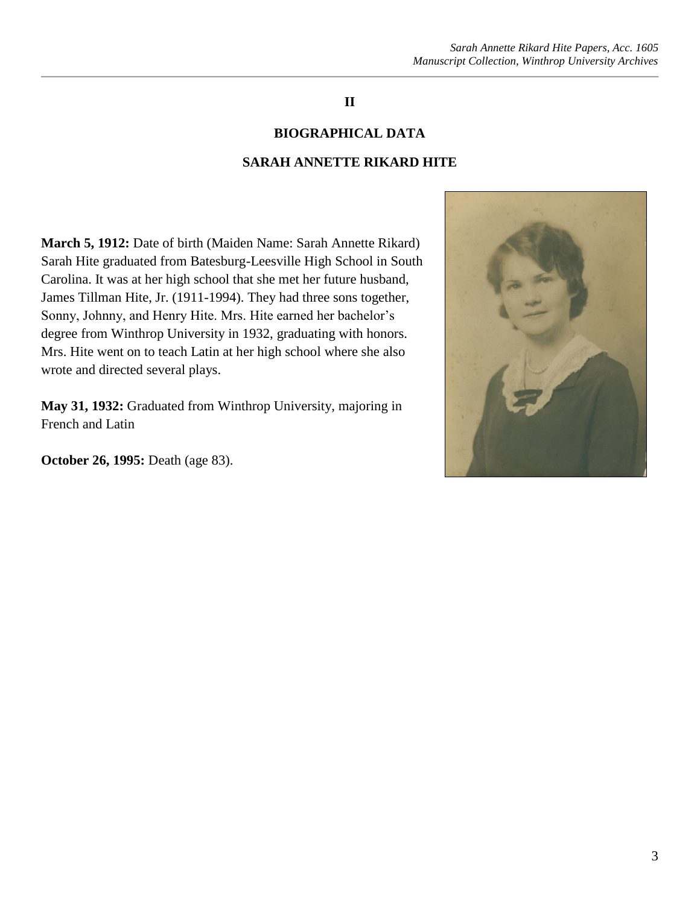## **II**

#### **BIOGRAPHICAL DATA**

#### **SARAH ANNETTE RIKARD HITE**

**March 5, 1912:** Date of birth (Maiden Name: Sarah Annette Rikard) Sarah Hite graduated from Batesburg-Leesville High School in South Carolina. It was at her high school that she met her future husband, James Tillman Hite, Jr. (1911-1994). They had three sons together, Sonny, Johnny, and Henry Hite. Mrs. Hite earned her bachelor's degree from Winthrop University in 1932, graduating with honors. Mrs. Hite went on to teach Latin at her high school where she also wrote and directed several plays.

**May 31, 1932:** Graduated from Winthrop University, majoring in French and Latin

**October 26, 1995:** Death (age 83).

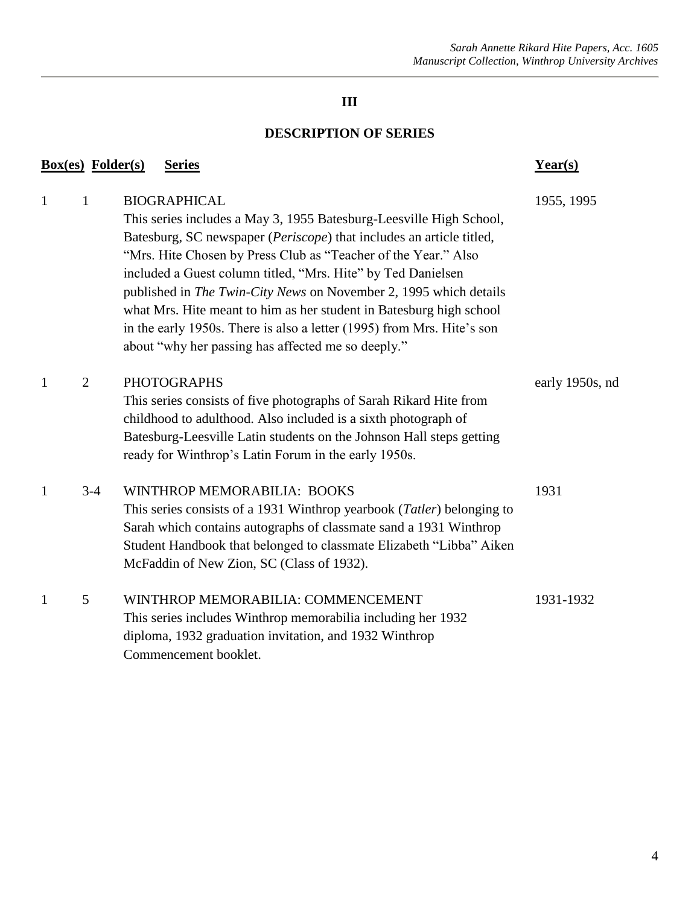# **III**

## **DESCRIPTION OF SERIES**

|              | <b>Box(es)</b> Folder(s) | <b>Series</b>                                                                                                                                                                                                                                                                                                                                                                                                                                                                                                                                                                    | $Year(s)$       |
|--------------|--------------------------|----------------------------------------------------------------------------------------------------------------------------------------------------------------------------------------------------------------------------------------------------------------------------------------------------------------------------------------------------------------------------------------------------------------------------------------------------------------------------------------------------------------------------------------------------------------------------------|-----------------|
| $\mathbf{1}$ | $\mathbf{1}$             | <b>BIOGRAPHICAL</b><br>This series includes a May 3, 1955 Batesburg-Leesville High School,<br>Batesburg, SC newspaper (Periscope) that includes an article titled,<br>"Mrs. Hite Chosen by Press Club as "Teacher of the Year." Also<br>included a Guest column titled, "Mrs. Hite" by Ted Danielsen<br>published in The Twin-City News on November 2, 1995 which details<br>what Mrs. Hite meant to him as her student in Batesburg high school<br>in the early 1950s. There is also a letter (1995) from Mrs. Hite's son<br>about "why her passing has affected me so deeply." | 1955, 1995      |
| $\mathbf{1}$ | $\overline{2}$           | <b>PHOTOGRAPHS</b><br>This series consists of five photographs of Sarah Rikard Hite from<br>childhood to adulthood. Also included is a sixth photograph of<br>Batesburg-Leesville Latin students on the Johnson Hall steps getting<br>ready for Winthrop's Latin Forum in the early 1950s.                                                                                                                                                                                                                                                                                       | early 1950s, nd |
| 1            | $3-4$                    | WINTHROP MEMORABILIA: BOOKS<br>This series consists of a 1931 Winthrop yearbook ( <i>Tatler</i> ) belonging to<br>Sarah which contains autographs of classmate sand a 1931 Winthrop<br>Student Handbook that belonged to classmate Elizabeth "Libba" Aiken<br>McFaddin of New Zion, SC (Class of 1932).                                                                                                                                                                                                                                                                          | 1931            |
| 1            | 5                        | WINTHROP MEMORABILIA: COMMENCEMENT<br>This series includes Winthrop memorabilia including her 1932<br>diploma, 1932 graduation invitation, and 1932 Winthrop<br>Commencement booklet.                                                                                                                                                                                                                                                                                                                                                                                            | 1931-1932       |